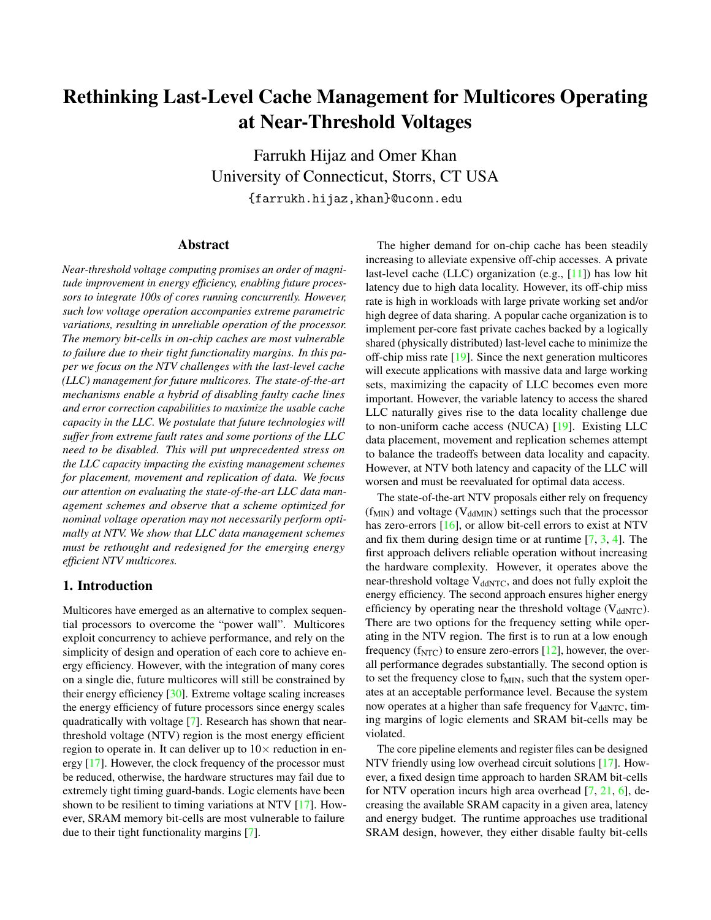# Rethinking Last-Level Cache Management for Multicores Operating at Near-Threshold Voltages

Farrukh Hijaz and Omer Khan University of Connecticut, Storrs, CT USA {farrukh.hijaz,khan}@uconn.edu

#### Abstract

*Near-threshold voltage computing promises an order of magnitude improvement in energy efficiency, enabling future processors to integrate 100s of cores running concurrently. However, such low voltage operation accompanies extreme parametric variations, resulting in unreliable operation of the processor. The memory bit-cells in on-chip caches are most vulnerable to failure due to their tight functionality margins. In this paper we focus on the NTV challenges with the last-level cache (LLC) management for future multicores. The state-of-the-art mechanisms enable a hybrid of disabling faulty cache lines and error correction capabilities to maximize the usable cache capacity in the LLC. We postulate that future technologies will suffer from extreme fault rates and some portions of the LLC need to be disabled. This will put unprecedented stress on the LLC capacity impacting the existing management schemes for placement, movement and replication of data. We focus our attention on evaluating the state-of-the-art LLC data management schemes and observe that a scheme optimized for nominal voltage operation may not necessarily perform optimally at NTV. We show that LLC data management schemes must be rethought and redesigned for the emerging energy efficient NTV multicores.*

# 1. Introduction

Multicores have emerged as an alternative to complex sequential processors to overcome the "power wall". Multicores exploit concurrency to achieve performance, and rely on the simplicity of design and operation of each core to achieve energy efficiency. However, with the integration of many cores on a single die, future multicores will still be constrained by their energy efficiency [\[30\]](#page-5-0). Extreme voltage scaling increases the energy efficiency of future processors since energy scales quadratically with voltage [\[7\]](#page-5-1). Research has shown that nearthreshold voltage (NTV) region is the most energy efficient region to operate in. It can deliver up to  $10\times$  reduction in energy [\[17\]](#page-5-2). However, the clock frequency of the processor must be reduced, otherwise, the hardware structures may fail due to extremely tight timing guard-bands. Logic elements have been shown to be resilient to timing variations at NTV [\[17\]](#page-5-2). However, SRAM memory bit-cells are most vulnerable to failure due to their tight functionality margins [\[7\]](#page-5-1).

The higher demand for on-chip cache has been steadily increasing to alleviate expensive off-chip accesses. A private last-level cache (LLC) organization (e.g., [\[11\]](#page-5-3)) has low hit latency due to high data locality. However, its off-chip miss rate is high in workloads with large private working set and/or high degree of data sharing. A popular cache organization is to implement per-core fast private caches backed by a logically shared (physically distributed) last-level cache to minimize the off-chip miss rate [\[19\]](#page-5-4). Since the next generation multicores will execute applications with massive data and large working sets, maximizing the capacity of LLC becomes even more important. However, the variable latency to access the shared LLC naturally gives rise to the data locality challenge due to non-uniform cache access (NUCA) [\[19\]](#page-5-4). Existing LLC data placement, movement and replication schemes attempt to balance the tradeoffs between data locality and capacity. However, at NTV both latency and capacity of the LLC will worsen and must be reevaluated for optimal data access.

The state-of-the-art NTV proposals either rely on frequency  $(f_{MIN})$  and voltage ( $V_{ddMIN}$ ) settings such that the processor has zero-errors [\[16\]](#page-5-5), or allow bit-cell errors to exist at NTV and fix them during design time or at runtime [\[7,](#page-5-1) [3,](#page-5-6) [4\]](#page-5-7). The first approach delivers reliable operation without increasing the hardware complexity. However, it operates above the near-threshold voltage V<sub>ddNTC</sub>, and does not fully exploit the energy efficiency. The second approach ensures higher energy efficiency by operating near the threshold voltage  $(V_{ddNTC})$ . There are two options for the frequency setting while operating in the NTV region. The first is to run at a low enough frequency ( $f_{NTC}$ ) to ensure zero-errors [\[12\]](#page-5-8), however, the overall performance degrades substantially. The second option is to set the frequency close to  $f_{MIN}$ , such that the system operates at an acceptable performance level. Because the system now operates at a higher than safe frequency for  $V_{ddNTC}$ , timing margins of logic elements and SRAM bit-cells may be violated.

The core pipeline elements and register files can be designed NTV friendly using low overhead circuit solutions [\[17\]](#page-5-2). However, a fixed design time approach to harden SRAM bit-cells for NTV operation incurs high area overhead [\[7,](#page-5-1) [21,](#page-5-9) [6\]](#page-5-10), decreasing the available SRAM capacity in a given area, latency and energy budget. The runtime approaches use traditional SRAM design, however, they either disable faulty bit-cells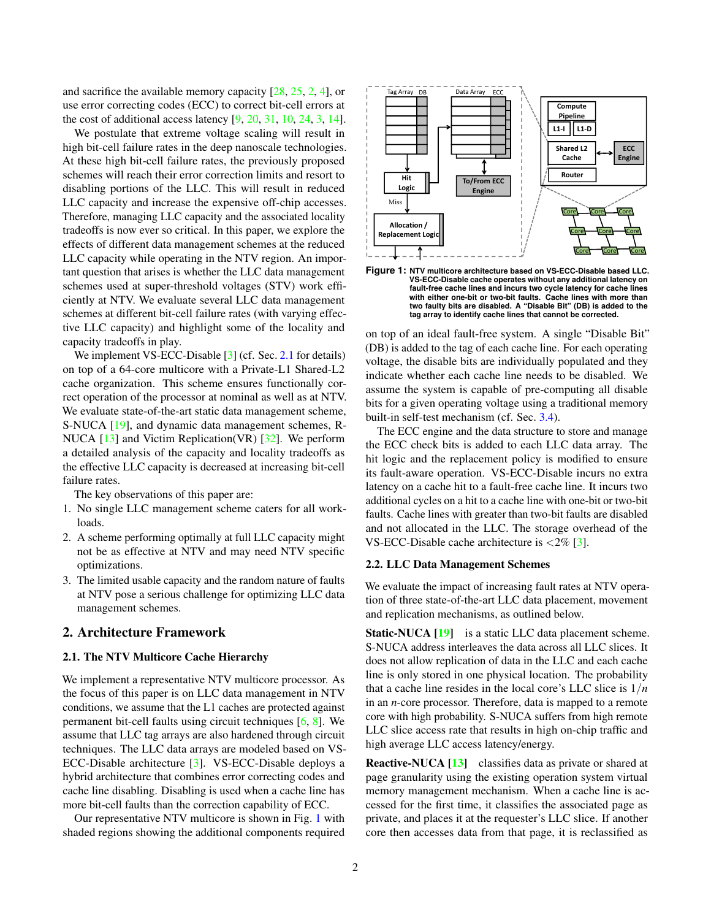and sacrifice the available memory capacity [\[28,](#page-5-11) [25,](#page-5-12) [2,](#page-5-13) [4\]](#page-5-7), or use error correcting codes (ECC) to correct bit-cell errors at the cost of additional access latency [\[9,](#page-5-14) [20,](#page-5-15) [31,](#page-5-16) [10,](#page-5-17) [24,](#page-5-18) [3,](#page-5-6) [14\]](#page-5-19).

We postulate that extreme voltage scaling will result in high bit-cell failure rates in the deep nanoscale technologies. At these high bit-cell failure rates, the previously proposed schemes will reach their error correction limits and resort to disabling portions of the LLC. This will result in reduced LLC capacity and increase the expensive off-chip accesses. Therefore, managing LLC capacity and the associated locality tradeoffs is now ever so critical. In this paper, we explore the effects of different data management schemes at the reduced LLC capacity while operating in the NTV region. An important question that arises is whether the LLC data management schemes used at super-threshold voltages (STV) work efficiently at NTV. We evaluate several LLC data management schemes at different bit-cell failure rates (with varying effective LLC capacity) and highlight some of the locality and capacity tradeoffs in play.

We implement VS-ECC-Disable [\[3\]](#page-5-6) (cf. Sec. [2.1](#page-1-0) for details) on top of a 64-core multicore with a Private-L1 Shared-L2 cache organization. This scheme ensures functionally correct operation of the processor at nominal as well as at NTV. We evaluate state-of-the-art static data management scheme, S-NUCA [\[19\]](#page-5-4), and dynamic data management schemes, R-NUCA [\[13\]](#page-5-20) and Victim Replication(VR) [\[32\]](#page-5-21). We perform a detailed analysis of the capacity and locality tradeoffs as the effective LLC capacity is decreased at increasing bit-cell failure rates.

The key observations of this paper are:

- 1. No single LLC management scheme caters for all workloads.
- 2. A scheme performing optimally at full LLC capacity might not be as effective at NTV and may need NTV specific optimizations.
- 3. The limited usable capacity and the random nature of faults at NTV pose a serious challenge for optimizing LLC data management schemes.

# 2. Architecture Framework

## <span id="page-1-0"></span>2.1. The NTV Multicore Cache Hierarchy

We implement a representative NTV multicore processor. As the focus of this paper is on LLC data management in NTV conditions, we assume that the L1 caches are protected against permanent bit-cell faults using circuit techniques [\[6,](#page-5-10) [8\]](#page-5-22). We assume that LLC tag arrays are also hardened through circuit techniques. The LLC data arrays are modeled based on VS-ECC-Disable architecture [\[3\]](#page-5-6). VS-ECC-Disable deploys a hybrid architecture that combines error correcting codes and cache line disabling. Disabling is used when a cache line has more bit-cell faults than the correction capability of ECC.

Our representative NTV multicore is shown in Fig. [1](#page-1-1) with shaded regions showing the additional components required

<span id="page-1-1"></span>

**Figure 1: NTV multicore architecture based on VS-ECC-Disable based LLC. VS-ECC-Disable cache operates without any additional latency on fault-free cache lines and incurs two cycle latency for cache lines with either one-bit or two-bit faults. Cache lines with more than two faulty bits are disabled. A "Disable Bit" (DB) is added to the tag array to identify cache lines that cannot be corrected.**

on top of an ideal fault-free system. A single "Disable Bit" (DB) is added to the tag of each cache line. For each operating voltage, the disable bits are individually populated and they indicate whether each cache line needs to be disabled. We assume the system is capable of pre-computing all disable bits for a given operating voltage using a traditional memory built-in self-test mechanism (cf. Sec. [3.4\)](#page-2-0).

The ECC engine and the data structure to store and manage the ECC check bits is added to each LLC data array. The hit logic and the replacement policy is modified to ensure its fault-aware operation. VS-ECC-Disable incurs no extra latency on a cache hit to a fault-free cache line. It incurs two additional cycles on a hit to a cache line with one-bit or two-bit faults. Cache lines with greater than two-bit faults are disabled and not allocated in the LLC. The storage overhead of the VS-ECC-Disable cache architecture is  $\langle 2\% \space [3]$  $\langle 2\% \space [3]$ .

#### 2.2. LLC Data Management Schemes

We evaluate the impact of increasing fault rates at NTV operation of three state-of-the-art LLC data placement, movement and replication mechanisms, as outlined below.

Static-NUCA [\[19\]](#page-5-4) is a static LLC data placement scheme. S-NUCA address interleaves the data across all LLC slices. It does not allow replication of data in the LLC and each cache line is only stored in one physical location. The probability that a cache line resides in the local core's LLC slice is  $1/n$ in an *n*-core processor. Therefore, data is mapped to a remote core with high probability. S-NUCA suffers from high remote LLC slice access rate that results in high on-chip traffic and high average LLC access latency/energy.

Reactive-NUCA [\[13\]](#page-5-20) classifies data as private or shared at page granularity using the existing operation system virtual memory management mechanism. When a cache line is accessed for the first time, it classifies the associated page as private, and places it at the requester's LLC slice. If another core then accesses data from that page, it is reclassified as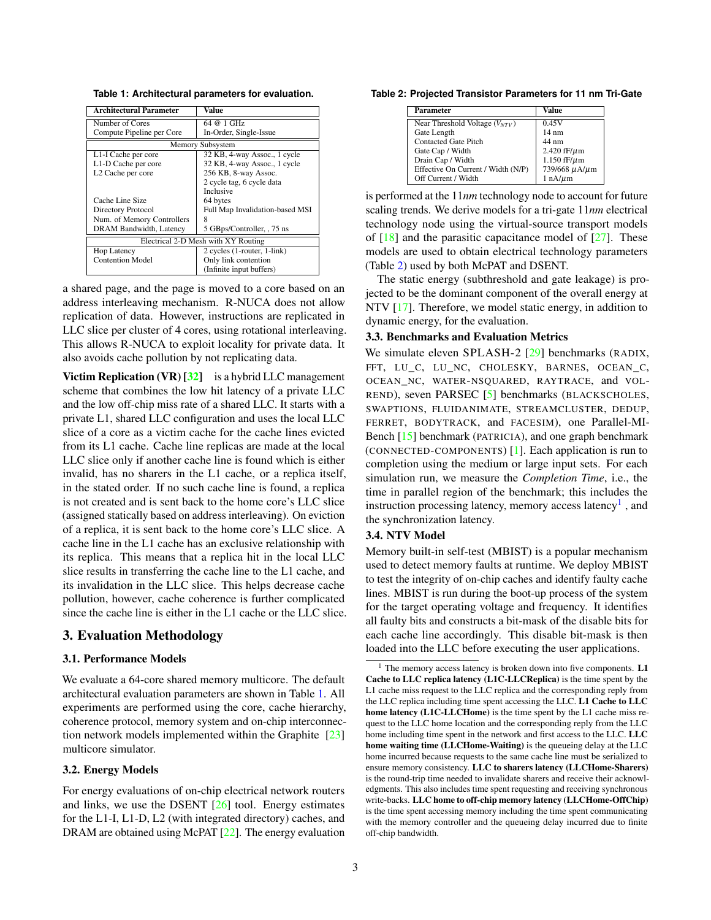<span id="page-2-1"></span>**Table 1: Architectural parameters for evaluation.**

| Architectural Parameter             | Value                           |  |
|-------------------------------------|---------------------------------|--|
| Number of Cores                     | 64 @ 1 GHz                      |  |
| Compute Pipeline per Core           | In-Order, Single-Issue          |  |
| Memory Subsystem                    |                                 |  |
| L1-I Cache per core                 | 32 KB, 4-way Assoc., 1 cycle    |  |
| L1-D Cache per core                 | 32 KB, 4-way Assoc., 1 cycle    |  |
| L <sub>2</sub> Cache per core       | 256 KB, 8-way Assoc.            |  |
|                                     | 2 cycle tag, 6 cycle data       |  |
|                                     | Inclusive                       |  |
| Cache Line Size                     | 64 bytes                        |  |
| Directory Protocol                  | Full Map Invalidation-based MSI |  |
| Num. of Memory Controllers          | 8                               |  |
| DRAM Bandwidth, Latency             | 5 GBps/Controller, , 75 ns      |  |
| Electrical 2-D Mesh with XY Routing |                                 |  |
| <b>Hop Latency</b>                  | 2 cycles (1-router, 1-link)     |  |
| <b>Contention Model</b>             | Only link contention            |  |
|                                     | (Infinite input buffers)        |  |

a shared page, and the page is moved to a core based on an address interleaving mechanism. R-NUCA does not allow replication of data. However, instructions are replicated in LLC slice per cluster of 4 cores, using rotational interleaving. This allows R-NUCA to exploit locality for private data. It also avoids cache pollution by not replicating data.

Victim Replication (VR)  $[32]$  is a hybrid LLC management scheme that combines the low hit latency of a private LLC and the low off-chip miss rate of a shared LLC. It starts with a private L1, shared LLC configuration and uses the local LLC slice of a core as a victim cache for the cache lines evicted from its L1 cache. Cache line replicas are made at the local LLC slice only if another cache line is found which is either invalid, has no sharers in the L1 cache, or a replica itself, in the stated order. If no such cache line is found, a replica is not created and is sent back to the home core's LLC slice (assigned statically based on address interleaving). On eviction of a replica, it is sent back to the home core's LLC slice. A cache line in the L1 cache has an exclusive relationship with its replica. This means that a replica hit in the local LLC slice results in transferring the cache line to the L1 cache, and its invalidation in the LLC slice. This helps decrease cache pollution, however, cache coherence is further complicated since the cache line is either in the L1 cache or the LLC slice.

# 3. Evaluation Methodology

### 3.1. Performance Models

We evaluate a 64-core shared memory multicore. The default architectural evaluation parameters are shown in Table [1.](#page-2-1) All experiments are performed using the core, cache hierarchy, coherence protocol, memory system and on-chip interconnection network models implemented within the Graphite [\[23\]](#page-5-23) multicore simulator.

## 3.2. Energy Models

For energy evaluations of on-chip electrical network routers and links, we use the DSENT [\[26\]](#page-5-24) tool. Energy estimates for the L1-I, L1-D, L2 (with integrated directory) caches, and DRAM are obtained using McPAT [\[22\]](#page-5-25). The energy evaluation

<span id="page-2-2"></span>**Table 2: Projected Transistor Parameters for 11 nm Tri-Gate**

| Parameter                          | Value               |
|------------------------------------|---------------------|
| Near Threshold Voltage $(V_{NTV})$ | 0.45V               |
| Gate Length                        | $14 \text{ nm}$     |
| <b>Contacted Gate Pitch</b>        | 44 nm               |
| Gate Cap / Width                   | 2.420 $fF/\mu$ m    |
| Drain Cap / Width                  | $1.150$ fF/ $\mu$ m |
| Effective On Current / Width (N/P) | 739/668 µA/µm       |
| Off Current / Width                | $1 nA/\mu m$        |

is performed at the 11*nm* technology node to account for future scaling trends. We derive models for a tri-gate 11*nm* electrical technology node using the virtual-source transport models of  $[18]$  and the parasitic capacitance model of  $[27]$ . These models are used to obtain electrical technology parameters (Table [2\)](#page-2-2) used by both McPAT and DSENT.

The static energy (subthreshold and gate leakage) is projected to be the dominant component of the overall energy at NTV [\[17\]](#page-5-2). Therefore, we model static energy, in addition to dynamic energy, for the evaluation.

#### 3.3. Benchmarks and Evaluation Metrics

We simulate eleven SPLASH-2 [\[29\]](#page-5-28) benchmarks (RADIX, FFT, LU\_C, LU\_NC, CHOLESKY, BARNES, OCEAN\_C, OCEAN\_NC, WATER-NSQUARED, RAYTRACE, and VOL-REND), seven PARSEC [\[5\]](#page-5-29) benchmarks (BLACKSCHOLES, SWAPTIONS, FLUIDANIMATE, STREAMCLUSTER, DEDUP, FERRET, BODYTRACK, and FACESIM), one Parallel-MI-Bench [\[15\]](#page-5-30) benchmark (PATRICIA), and one graph benchmark (CONNECTED-COMPONENTS) [\[1\]](#page-5-31). Each application is run to completion using the medium or large input sets. For each simulation run, we measure the *Completion Time*, i.e., the time in parallel region of the benchmark; this includes the instruction processing latency, memory access latency<sup>[1](#page-2-3)</sup>, and the synchronization latency.

#### <span id="page-2-0"></span>3.4. NTV Model

Memory built-in self-test (MBIST) is a popular mechanism used to detect memory faults at runtime. We deploy MBIST to test the integrity of on-chip caches and identify faulty cache lines. MBIST is run during the boot-up process of the system for the target operating voltage and frequency. It identifies all faulty bits and constructs a bit-mask of the disable bits for each cache line accordingly. This disable bit-mask is then loaded into the LLC before executing the user applications.

<span id="page-2-3"></span>The memory access latency is broken down into five components. L1 Cache to LLC replica latency (L1C-LLCReplica) is the time spent by the L1 cache miss request to the LLC replica and the corresponding reply from the LLC replica including time spent accessing the LLC. L1 Cache to LLC home latency (L1C-LLCHome) is the time spent by the L1 cache miss request to the LLC home location and the corresponding reply from the LLC home including time spent in the network and first access to the LLC. LLC home waiting time (LLCHome-Waiting) is the queueing delay at the LLC home incurred because requests to the same cache line must be serialized to ensure memory consistency. LLC to sharers latency (LLCHome-Sharers) is the round-trip time needed to invalidate sharers and receive their acknowledgments. This also includes time spent requesting and receiving synchronous write-backs. LLC home to off-chip memory latency (LLCHome-OffChip) is the time spent accessing memory including the time spent communicating with the memory controller and the queueing delay incurred due to finite off-chip bandwidth.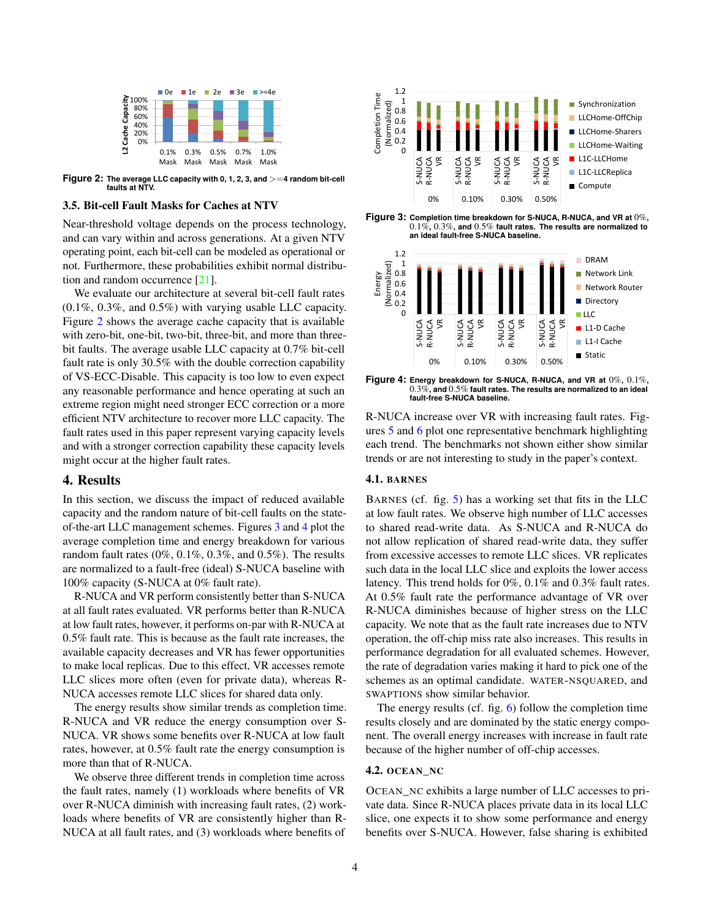<span id="page-3-0"></span>

**Figure 2: The average LLC capacity with 0, 1, 2, 3, and** >=**4 random bit-cell faults at NTV.**

#### 3.5. Bit-cell Fault Masks for Caches at NTV

Near-threshold voltage depends on the process technology, and can vary within and across generations. At a given NTV operating point, each bit-cell can be modeled as operational or not. Furthermore, these probabilities exhibit normal distribution and random occurrence [\[21\]](#page-5-9).

We evaluate our architecture at several bit-cell fault rates (0.1%, 0.3%, and 0.5%) with varying usable LLC capacity. Figure [2](#page-3-0) shows the average cache capacity that is available with zero-bit, one-bit, two-bit, three-bit, and more than threebit faults. The average usable LLC capacity at 0.7% bit-cell fault rate is only 30.5% with the double correction capability of VS-ECC-Disable. This capacity is too low to even expect any reasonable performance and hence operating at such an extreme region might need stronger ECC correction or a more efficient NTV architecture to recover more LLC capacity. The fault rates used in this paper represent varying capacity levels and with a stronger correction capability these capacity levels might occur at the higher fault rates.

## 4. Results

In this section, we discuss the impact of reduced available capacity and the random nature of bit-cell faults on the stateof-the-art LLC management schemes. Figures [3](#page-3-1) and [4](#page-3-2) plot the average completion time and energy breakdown for various random fault rates (0%, 0.1%, 0.3%, and 0.5%). The results are normalized to a fault-free (ideal) S-NUCA baseline with 100% capacity (S-NUCA at 0% fault rate).

R-NUCA and VR perform consistently better than S-NUCA at all fault rates evaluated. VR performs better than R-NUCA at low fault rates, however, it performs on-par with R-NUCA at 0.5% fault rate. This is because as the fault rate increases, the available capacity decreases and VR has fewer opportunities to make local replicas. Due to this effect, VR accesses remote LLC slices more often (even for private data), whereas R-NUCA accesses remote LLC slices for shared data only.

The energy results show similar trends as completion time. R-NUCA and VR reduce the energy consumption over S-NUCA. VR shows some benefits over R-NUCA at low fault rates, however, at 0.5% fault rate the energy consumption is more than that of R-NUCA.

We observe three different trends in completion time across the fault rates, namely (1) workloads where benefits of VR over R-NUCA diminish with increasing fault rates, (2) workloads where benefits of VR are consistently higher than R-NUCA at all fault rates, and (3) workloads where benefits of

<span id="page-3-1"></span>

**Figure 3: Completion time breakdown for S-NUCA, R-NUCA, and VR at** 0%**,** 0.1%**,** 0.3%**, and** 0.5% **fault rates. The results are normalized to an ideal fault-free S-NUCA baseline.**

<span id="page-3-2"></span>

**Figure 4: Energy breakdown for S-NUCA, R-NUCA, and VR at** 0%**,** 0.1%**,** 0.3%**, and** 0.5% **fault rates. The results are normalized to an ideal fault-free S-NUCA baseline.**

R-NUCA increase over VR with increasing fault rates. Figures [5](#page-4-0) and [6](#page-4-1) plot one representative benchmark highlighting each trend. The benchmarks not shown either show similar trends or are not interesting to study in the paper's context.

#### 4.1. BARNES

BARNES (cf. fig. [5\)](#page-4-0) has a working set that fits in the LLC at low fault rates. We observe high number of LLC accesses to shared read-write data. As S-NUCA and R-NUCA do not allow replication of shared read-write data, they suffer from excessive accesses to remote LLC slices. VR replicates such data in the local LLC slice and exploits the lower access latency. This trend holds for 0%, 0.1% and 0.3% fault rates. At 0.5% fault rate the performance advantage of VR over R-NUCA diminishes because of higher stress on the LLC capacity. We note that as the fault rate increases due to NTV operation, the off-chip miss rate also increases. This results in performance degradation for all evaluated schemes. However, the rate of degradation varies making it hard to pick one of the schemes as an optimal candidate. WATER-NSQUARED, and SWAPTIONS show similar behavior.

The energy results (cf. fig. [6\)](#page-4-1) follow the completion time results closely and are dominated by the static energy component. The overall energy increases with increase in fault rate because of the higher number of off-chip accesses.

### 4.2. OCEAN\_NC

OCEAN\_NC exhibits a large number of LLC accesses to private data. Since R-NUCA places private data in its local LLC slice, one expects it to show some performance and energy benefits over S-NUCA. However, false sharing is exhibited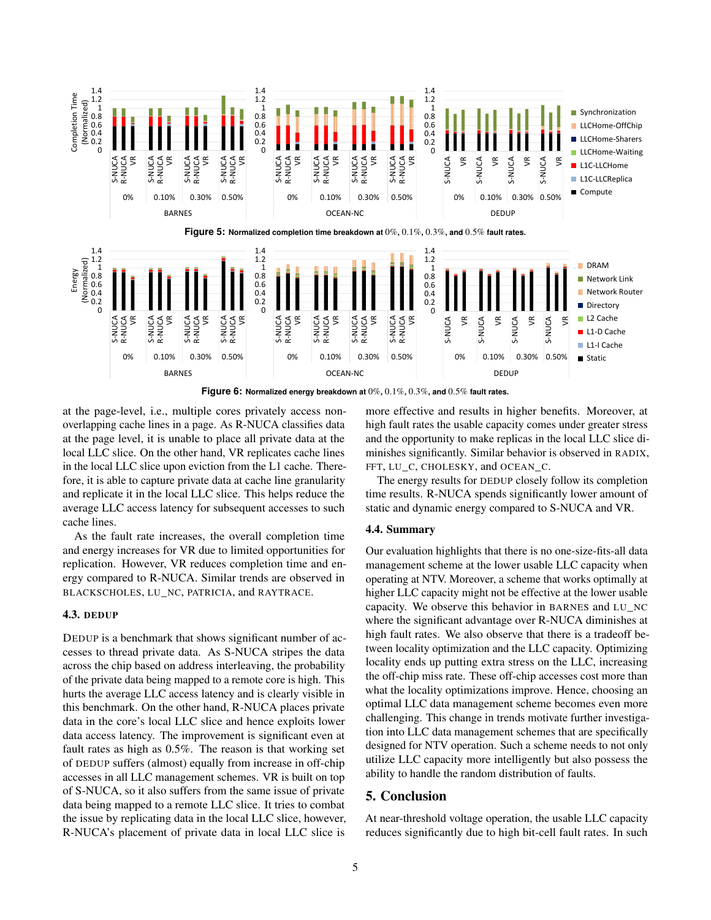<span id="page-4-1"></span><span id="page-4-0"></span>

**Figure 6: Normalized energy breakdown at** 0%**,** 0.1%**,** 0.3%**, and** 0.5% **fault rates.**

at the page-level, i.e., multiple cores privately access nonoverlapping cache lines in a page. As R-NUCA classifies data at the page level, it is unable to place all private data at the local LLC slice. On the other hand, VR replicates cache lines in the local LLC slice upon eviction from the L1 cache. Therefore, it is able to capture private data at cache line granularity and replicate it in the local LLC slice. This helps reduce the average LLC access latency for subsequent accesses to such cache lines.

As the fault rate increases, the overall completion time and energy increases for VR due to limited opportunities for replication. However, VR reduces completion time and energy compared to R-NUCA. Similar trends are observed in BLACKSCHOLES, LU\_NC, PATRICIA, and RAYTRACE.

#### 4.3. DEDUP

DEDUP is a benchmark that shows significant number of accesses to thread private data. As S-NUCA stripes the data across the chip based on address interleaving, the probability of the private data being mapped to a remote core is high. This hurts the average LLC access latency and is clearly visible in this benchmark. On the other hand, R-NUCA places private data in the core's local LLC slice and hence exploits lower data access latency. The improvement is significant even at fault rates as high as 0.5%. The reason is that working set of DEDUP suffers (almost) equally from increase in off-chip accesses in all LLC management schemes. VR is built on top of S-NUCA, so it also suffers from the same issue of private data being mapped to a remote LLC slice. It tries to combat the issue by replicating data in the local LLC slice, however, R-NUCA's placement of private data in local LLC slice is

more effective and results in higher benefits. Moreover, at high fault rates the usable capacity comes under greater stress and the opportunity to make replicas in the local LLC slice diminishes significantly. Similar behavior is observed in RADIX, FFT, LU\_C, CHOLESKY, and OCEAN\_C.

The energy results for DEDUP closely follow its completion time results. R-NUCA spends significantly lower amount of static and dynamic energy compared to S-NUCA and VR.

#### 4.4. Summary

Our evaluation highlights that there is no one-size-fits-all data management scheme at the lower usable LLC capacity when operating at NTV. Moreover, a scheme that works optimally at higher LLC capacity might not be effective at the lower usable capacity. We observe this behavior in BARNES and LU\_NC where the significant advantage over R-NUCA diminishes at high fault rates. We also observe that there is a tradeoff between locality optimization and the LLC capacity. Optimizing locality ends up putting extra stress on the LLC, increasing the off-chip miss rate. These off-chip accesses cost more than what the locality optimizations improve. Hence, choosing an optimal LLC data management scheme becomes even more challenging. This change in trends motivate further investigation into LLC data management schemes that are specifically designed for NTV operation. Such a scheme needs to not only utilize LLC capacity more intelligently but also possess the ability to handle the random distribution of faults.

# 5. Conclusion

At near-threshold voltage operation, the usable LLC capacity reduces significantly due to high bit-cell fault rates. In such